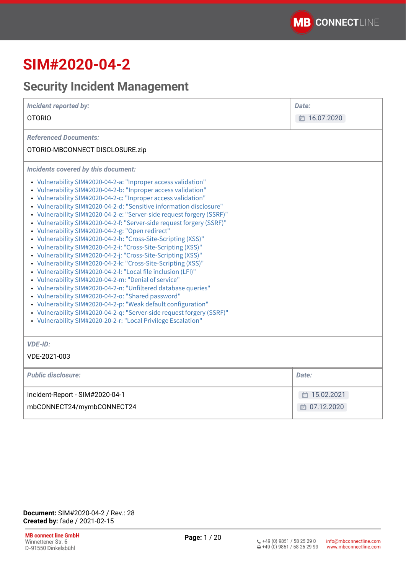# **SIM#2020-04-2**

# **Security Incident Management**

| <b>Incident reported by:</b><br><b>OTORIO</b>                                                                                                                                                                                                                                                                                                                                                                                                                                                                                                                                                                                                                                                                                                                                                                                                                                                                                                                                                                                                                                                                                                                                                                                                       | Date:<br>□ 16.07.2020        |
|-----------------------------------------------------------------------------------------------------------------------------------------------------------------------------------------------------------------------------------------------------------------------------------------------------------------------------------------------------------------------------------------------------------------------------------------------------------------------------------------------------------------------------------------------------------------------------------------------------------------------------------------------------------------------------------------------------------------------------------------------------------------------------------------------------------------------------------------------------------------------------------------------------------------------------------------------------------------------------------------------------------------------------------------------------------------------------------------------------------------------------------------------------------------------------------------------------------------------------------------------------|------------------------------|
| <b>Referenced Documents:</b><br>OTORIO-MBCONNECT DISCLOSURE.zip                                                                                                                                                                                                                                                                                                                                                                                                                                                                                                                                                                                                                                                                                                                                                                                                                                                                                                                                                                                                                                                                                                                                                                                     |                              |
| Incidents covered by this document:<br>• Vulnerability SIM#2020-04-2-a: "Inproper access validation"<br>• Vulnerability SIM#2020-04-2-b: "Inproper access validation"<br>• Vulnerability SIM#2020-04-2-c: "Inproper access validation"<br>• Vulnerability SIM#2020-04-2-d: "Sensitive information disclosure"<br>• Vulnerability SIM#2020-04-2-e: "Server-side request forgery (SSRF)"<br>• Vulnerability SIM#2020-04-2-f: "Server-side request forgery (SSRF)"<br>• Vulnerability SIM#2020-04-2-g: "Open redirect"<br>• Vulnerability SIM#2020-04-2-h: "Cross-Site-Scripting (XSS)"<br>• Vulnerability SIM#2020-04-2-i: "Cross-Site-Scripting (XSS)"<br>• Vulnerability SIM#2020-04-2-j: "Cross-Site-Scripting (XSS)"<br>• Vulnerability SIM#2020-04-2-k: "Cross-Site-Scripting (XSS)"<br>• Vulnerability SIM#2020-04-2-l: "Local file inclusion (LFI)"<br>• Vulnerability SIM#2020-04-2-m: "Denial of service"<br>• Vulnerability SIM#2020-04-2-n: "Unfiltered database queries"<br>• Vulnerability SIM#2020-04-2-o: "Shared password"<br>• Vulnerability SIM#2020-04-2-p: "Weak default configuration"<br>• Vulnerability SIM#2020-04-2-q: "Server-side request forgery (SSRF)"<br>• Vulnerability SIM#2020-20-2-r: "Local Privilege Escalation" |                              |
| <b>VDE-ID:</b><br>VDE-2021-003                                                                                                                                                                                                                                                                                                                                                                                                                                                                                                                                                                                                                                                                                                                                                                                                                                                                                                                                                                                                                                                                                                                                                                                                                      |                              |
| <b>Public disclosure:</b>                                                                                                                                                                                                                                                                                                                                                                                                                                                                                                                                                                                                                                                                                                                                                                                                                                                                                                                                                                                                                                                                                                                                                                                                                           | Date:                        |
| Incident-Report - SIM#2020-04-1<br>mbCONNECT24/mymbCONNECT24                                                                                                                                                                                                                                                                                                                                                                                                                                                                                                                                                                                                                                                                                                                                                                                                                                                                                                                                                                                                                                                                                                                                                                                        | □ 15.02.2021<br>□ 07.12.2020 |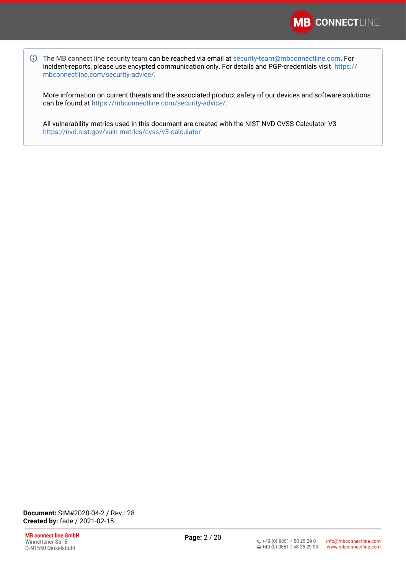

The MB connect line security team can be reached via email at [security-team@mbconnectline.com](mailto:security-team@mbconnectline.com). For incident-reports, please use encypted communication only. For details and PGP-credentials visit [https://](https://mbconnectline.com/security-advice/) [mbconnectline.com/security-advice/.](https://mbconnectline.com/security-advice/)

More information on current threats and the associated product safety of our devices and software solutions can be found at [https://mbconnectline.com/security-advice/.](https://mbconnectline.com/security-advice/)

All vulnerability-metrics used in this document are created with the NIST NVD CVSS-Calculator V3 <https://nvd.nist.gov/vuln-metrics/cvss/v3-calculator>

**Document:** SIM#2020-04-2 / Rev.: 28 **Created by:** fade / 2021-02-15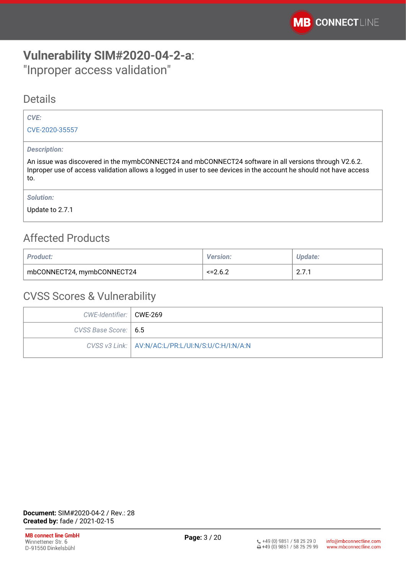# <span id="page-2-0"></span>**Vulnerability SIM#2020-04-2-a**: "Inproper access validation"

### **Details**

### *CVE:*

[CVE-2020-35557](https://cve.mitre.org/cgi-bin/cvename.cgi?name=CVE-2020-35557)

### *Description:*

An issue was discovered in the mymbCONNECT24 and mbCONNECT24 software in all versions through V2.6.2. Inproper use of access validation allows a logged in user to see devices in the account he should not have access to.

*Solution:* 

Update to 2.7.1

# Affected Products

| <b>Product:</b>            | <b>Version:</b> | <b>Update:</b>                     |
|----------------------------|-----------------|------------------------------------|
| mbCONNECT24, mymbCONNECT24 | $\le$ = 2.6.2   | $\mathsf{L}.\mathsf{L}.\mathsf{L}$ |

| CWE-Identifier:   CWE-269 |                                                     |
|---------------------------|-----------------------------------------------------|
| CVSS Base Score:   6.5    |                                                     |
|                           | CVSS v3 Link:   AV:N/AC:L/PR:L/UI:N/S:U/C:H/I:N/A:N |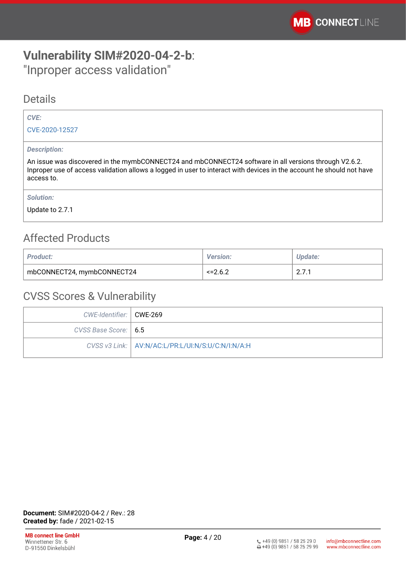# <span id="page-3-0"></span>**Vulnerability SIM#2020-04-2-b**: "Inproper access validation"

### **Details**

### *CVE:*

[CVE-2020-12527](https://cve.mitre.org/cgi-bin/cvename.cgi?name=CVE-CVE-2020-12527)

#### *Description:*

An issue was discovered in the mymbCONNECT24 and mbCONNECT24 software in all versions through V2.6.2. Inproper use of access validation allows a logged in user to interact with devices in the account he should not have access to.

*Solution:* 

Update to 2.7.1

## Affected Products

| <b>Product:</b>            | <b>Version:</b> | 'Jpdate:     |
|----------------------------|-----------------|--------------|
| mbCONNECT24, mymbCONNECT24 | <=? 6 ?         | $\sim \cdot$ |

| CWE-Identifier:   CWE-269 |                                                     |
|---------------------------|-----------------------------------------------------|
| CVSS Base Score:   6.5    |                                                     |
|                           | CVSS v3 Link:   AV:N/AC:L/PR:L/UI:N/S:U/C:N/I:N/A:H |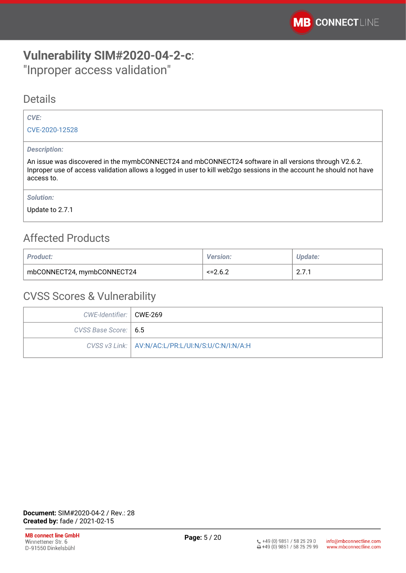# <span id="page-4-0"></span>**Vulnerability SIM#2020-04-2-c**: "Inproper access validation"

### **Details**

### *CVE:*

[CVE-2020-12528](https://cve.mitre.org/cgi-bin/cvename.cgi?name=CVE-CVE-2020-12528)

### *Description:*

An issue was discovered in the mymbCONNECT24 and mbCONNECT24 software in all versions through V2.6.2. Inproper use of access validation allows a logged in user to kill web2go sessions in the account he should not have access to.

*Solution:* 

Update to 2.7.1

# Affected Products

| <b>Product:</b>            | <b>Version:</b> | Update:      |
|----------------------------|-----------------|--------------|
| mbCONNECT24, mymbCONNECT24 | $<=2.6.2$       | $\sim \cdot$ |

| CWE-Identifier:   CWE-269 |                                                     |
|---------------------------|-----------------------------------------------------|
| CVSS Base Score:   6.5    |                                                     |
|                           | CVSS v3 Link:   AV:N/AC:L/PR:L/UI:N/S:U/C:N/I:N/A:H |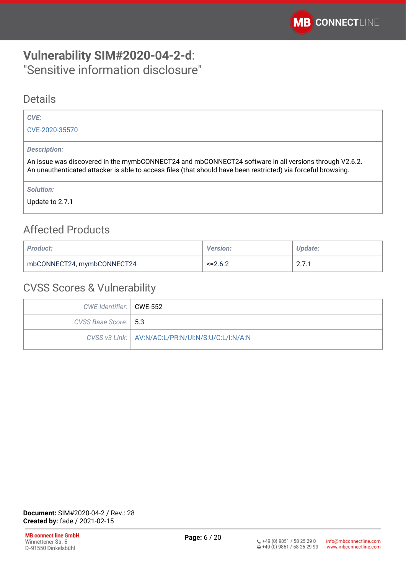# <span id="page-5-0"></span>**Vulnerability SIM#2020-04-2-d**: "Sensitive information disclosure"

### **Details**

### *CVE:*

[CVE-2020-35570](https://cve.mitre.org/cgi-bin/cvename.cgi?name=CVE-2020-35570)

### *Description:*

An issue was discovered in the mymbCONNECT24 and mbCONNECT24 software in all versions through V2.6.2. An unauthenticated attacker is able to access files (that should have been restricted) via forceful browsing.

*Solution:* 

Update to 2.7.1

# Affected Products

| <b>Product:</b>            | <b>Version:</b> | Update:                         |
|----------------------------|-----------------|---------------------------------|
| mbCONNECT24, mymbCONNECT24 | $\le$ = 2.6.2   | $\sim$ $\sim$<br>$\sim \cdot$ . |

| CWE-Identifier:   CWE-552 |                                                     |
|---------------------------|-----------------------------------------------------|
| CVSS Base Score: 5.3      |                                                     |
|                           | CVSS v3 Link:   AV:N/AC:L/PR:N/UI:N/S:U/C:L/I:N/A:N |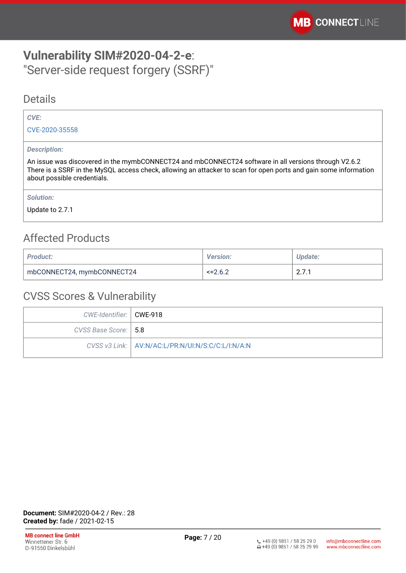# <span id="page-6-0"></span>**Vulnerability SIM#2020-04-2-e**: "Server-side request forgery (SSRF)"

### **Details**

### *CVE:*

[CVE-2020-35558](https://cve.mitre.org/cgi-bin/cvename.cgi?name=CVE-2020-35558)

### *Description:*

An issue was discovered in the mymbCONNECT24 and mbCONNECT24 software in all versions through V2.6.2 There is a SSRF in the MySQL access check, allowing an attacker to scan for open ports and gain some information about possible credentials.

*Solution:* 

Update to 2.7.1

## Affected Products

| <b>Product:</b>            | <b>Version:</b> | <b>Update:</b>              |
|----------------------------|-----------------|-----------------------------|
| mbCONNECT24, mymbCONNECT24 | $\le$ = 2.6.2   | $\mathsf{Z}$ . $\mathsf{I}$ |

| CWE-Identifier:   CWE-918 |                                                     |
|---------------------------|-----------------------------------------------------|
| CVSS Base Score:   5.8    |                                                     |
|                           | CVSS v3 Link:   AV:N/AC:L/PR:N/UI:N/S:C/C:L/I:N/A:N |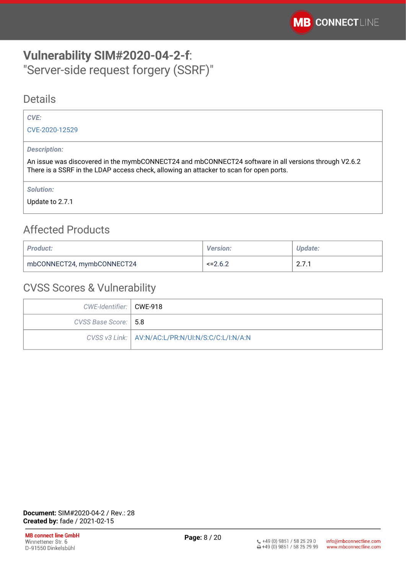# <span id="page-7-0"></span>**Vulnerability SIM#2020-04-2-f**: "Server-side request forgery (SSRF)"

### Details

### *CVE:*

[CVE-2020-12529](https://cve.mitre.org/cgi-bin/cvename.cgi?name=CVE-CVE-2020-12529)

#### *Description:*

An issue was discovered in the mymbCONNECT24 and mbCONNECT24 software in all versions through V2.6.2 There is a SSRF in the LDAP access check, allowing an attacker to scan for open ports.

*Solution:* 

Update to 2.7.1

## Affected Products

| <b>Product:</b>            | <b>Version:</b> | Update:                       |
|----------------------------|-----------------|-------------------------------|
| mbCONNECT24, mymbCONNECT24 | $\le$ = 2.6.2   | $\sim$ $\sim$<br>$\sim \cdot$ |

| CWE-Identifier:   CWE-918 |                                                     |
|---------------------------|-----------------------------------------------------|
| CVSS Base Score:   5.8    |                                                     |
|                           | CVSS v3 Link:   AV:N/AC:L/PR:N/UI:N/S:C/C:L/I:N/A:N |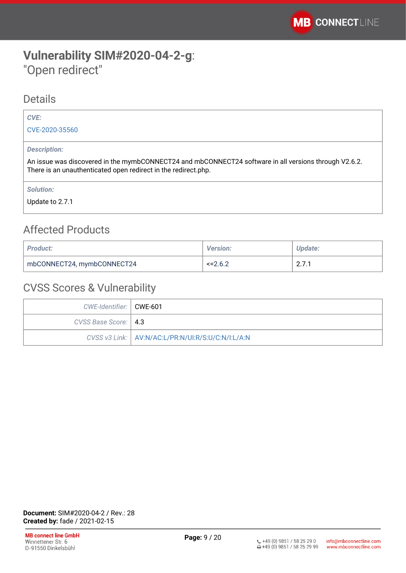# <span id="page-8-0"></span>**Vulnerability SIM#2020-04-2-g**: "Open redirect"

### **Details**

### *CVE:*

[CVE-2020-35560](https://cve.mitre.org/cgi-bin/cvename.cgi?name=CVE-2020-35560)

### *Description:*

An issue was discovered in the mymbCONNECT24 and mbCONNECT24 software in all versions through V2.6.2. There is an unauthenticated open redirect in the redirect.php.

*Solution:* 

Update to 2.7.1

# Affected Products

| <b>Product:</b>            | <b>Version:</b> | Update:                         |
|----------------------------|-----------------|---------------------------------|
| mbCONNECT24, mymbCONNECT24 | $\le$ = 2.6.2   | $\sim$ $\sim$<br>$\sim \cdot$ . |

| CWE-Identifier:   CWE-601 |                                                     |
|---------------------------|-----------------------------------------------------|
| CVSS Base Score:   4.3    |                                                     |
|                           | CVSS v3 Link:   AV:N/AC:L/PR:N/UI:R/S:U/C:N/I:L/A:N |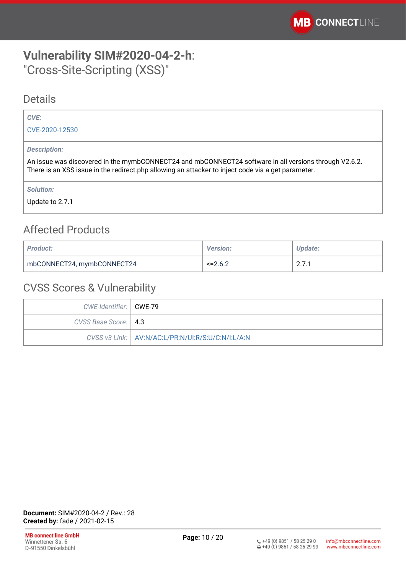# <span id="page-9-0"></span>**Vulnerability SIM#2020-04-2-h**: "Cross-Site-Scripting (XSS)"

### **Details**

### *CVE:*

[CVE-2020-12530](https://cve.mitre.org/cgi-bin/cvename.cgi?name=CVE-CVE-2020-12530)

### *Description:*

An issue was discovered in the mymbCONNECT24 and mbCONNECT24 software in all versions through V2.6.2. There is an XSS issue in the redirect.php allowing an attacker to inject code via a get parameter.

*Solution:* 

Update to 2.7.1

# Affected Products

| <b>Product:</b>            | <b>Version:</b> | Update:                         |
|----------------------------|-----------------|---------------------------------|
| mbCONNECT24, mymbCONNECT24 | $\le$ = 2.6.2   | $\sim$ $\sim$<br>$\sim \cdot$ . |

| CWE-Identifier:   CWE-79 |                                                     |
|--------------------------|-----------------------------------------------------|
| CVSS Base Score:   4.3   |                                                     |
|                          | CVSS v3 Link:   AV:N/AC:L/PR:N/UI:R/S:U/C:N/I:L/A:N |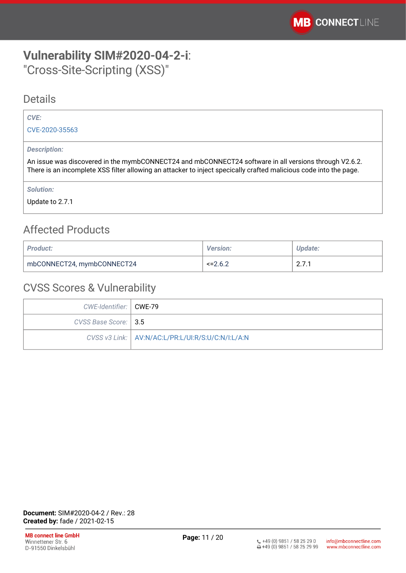# <span id="page-10-0"></span>**Vulnerability SIM#2020-04-2-i**: "Cross-Site-Scripting (XSS)"

### **Details**

### *CVE:*

[CVE-2020-35563](https://cve.mitre.org/cgi-bin/cvename.cgi?name=CVE-2020-35563)

### *Description:*

An issue was discovered in the mymbCONNECT24 and mbCONNECT24 software in all versions through V2.6.2. There is an incomplete XSS filter allowing an attacker to inject specically crafted malicious code into the page.

*Solution:* 

Update to 2.7.1

# Affected Products

| <b>Product:</b>            | <b>Version:</b> | Update:               |
|----------------------------|-----------------|-----------------------|
| mbCONNECT24, mymbCONNECT24 | $\le$ = 2.6.2   | n 7 1<br>$\sim \cdot$ |

| CWE-Identifier:   CWE-79 |                                                     |
|--------------------------|-----------------------------------------------------|
| CVSS Base Score:   3.5   |                                                     |
|                          | CVSS v3 Link:   AV:N/AC:L/PR:L/UI:R/S:U/C:N/I:L/A:N |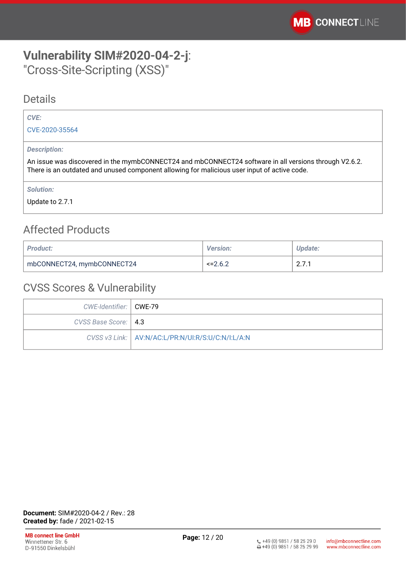# <span id="page-11-0"></span>**Vulnerability SIM#2020-04-2-j**: "Cross-Site-Scripting (XSS)"

### **Details**

### *CVE:*

[CVE-2020-35564](https://cve.mitre.org/cgi-bin/cvename.cgi?name=CVE-2020-35564)

### *Description:*

An issue was discovered in the mymbCONNECT24 and mbCONNECT24 software in all versions through V2.6.2. There is an outdated and unused component allowing for malicious user input of active code.

*Solution:* 

Update to 2.7.1

# Affected Products

| <b>Product:</b>            | <b>Version:</b> | Update:                         |
|----------------------------|-----------------|---------------------------------|
| mbCONNECT24, mymbCONNECT24 | $\le$ = 2.6.2   | $\sim$ $\sim$<br>$\sim \cdot$ . |

| CWE-Identifier:   CWE-79 |                                                     |
|--------------------------|-----------------------------------------------------|
| CVSS Base Score:   4.3   |                                                     |
|                          | CVSS v3 Link:   AV:N/AC:L/PR:N/UI:R/S:U/C:N/I:L/A:N |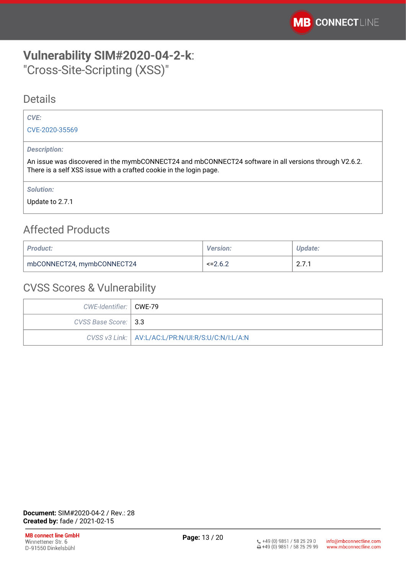# <span id="page-12-0"></span>**Vulnerability SIM#2020-04-2-k**: "Cross-Site-Scripting (XSS)"

### **Details**

### *CVE:*

[CVE-2020-35569](https://cve.mitre.org/cgi-bin/cvename.cgi?name=CVE-2020-35569)

### *Description:*

An issue was discovered in the mymbCONNECT24 and mbCONNECT24 software in all versions through V2.6.2. There is a self XSS issue with a crafted cookie in the login page.

*Solution:* 

Update to 2.7.1

# Affected Products

| <b>Product:</b>            | <b>Version:</b> | Update:                                                      |
|----------------------------|-----------------|--------------------------------------------------------------|
| mbCONNECT24, mymbCONNECT24 | $\le$ = 2.6.2   | <b>071</b><br>$\mathsf{L} \cdot \mathsf{L} \cdot \mathsf{L}$ |

| CWE-Identifier:   CWE-79 |                                                     |
|--------------------------|-----------------------------------------------------|
| CVSS Base Score: 3.3     |                                                     |
|                          | CVSS v3 Link:   AV:L/AC:L/PR:N/UI:R/S:U/C:N/I:L/A:N |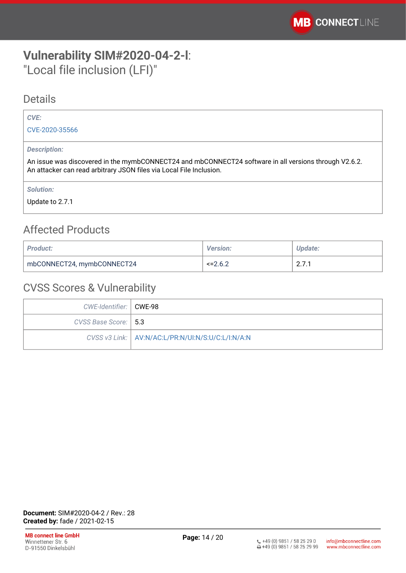# <span id="page-13-0"></span>**Vulnerability SIM#2020-04-2-l**: "Local file inclusion (LFI)"

### Details

### *CVE:*

[CVE-2020-35566](https://cve.mitre.org/cgi-bin/cvename.cgi?name=CVE-2020-35566)

### *Description:*

An issue was discovered in the mymbCONNECT24 and mbCONNECT24 software in all versions through V2.6.2. An attacker can read arbitrary JSON files via Local File Inclusion.

*Solution:* 

Update to 2.7.1

# Affected Products

| <b>Product:</b>            | <b>Version:</b> | Update:                         |
|----------------------------|-----------------|---------------------------------|
| mbCONNECT24, mymbCONNECT24 | $\le$ = 2.6.2   | $\sim$ $\sim$<br>$\sim \cdot$ . |

| CWE-Identifier:   CWE-98 |                                                     |
|--------------------------|-----------------------------------------------------|
| CVSS Base Score:   5.3   |                                                     |
|                          | CVSS v3 Link:   AV:N/AC:L/PR:N/UI:N/S:U/C:L/I:N/A:N |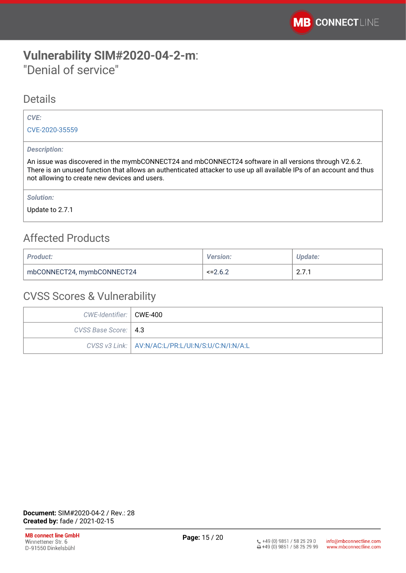# <span id="page-14-0"></span>**Vulnerability SIM#2020-04-2-m**: "Denial of service"

### Details

### *CVE:*

[CVE-2020-35559](https://cve.mitre.org/cgi-bin/cvename.cgi?name=CVE-2020-35559)

### *Description:*

An issue was discovered in the mymbCONNECT24 and mbCONNECT24 software in all versions through V2.6.2. There is an unused function that allows an authenticated attacker to use up all available IPs of an account and thus not allowing to create new devices and users.

*Solution:* 

Update to 2.7.1

# Affected Products

| <b>Product:</b>            | <b>Version:</b> | <b>Update:</b>              |
|----------------------------|-----------------|-----------------------------|
| mbCONNECT24, mymbCONNECT24 | $\le$ = 2.6.2   | $\mathsf{Z}$ . $\mathsf{I}$ |

| CWE-Identifier:   CWE-400 |                                                     |
|---------------------------|-----------------------------------------------------|
| CVSS Base Score:   4.3    |                                                     |
|                           | CVSS v3 Link:   AV:N/AC:L/PR:L/UI:N/S:U/C:N/I:N/A:L |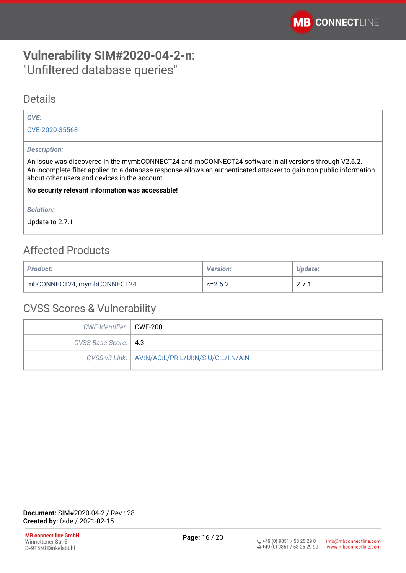# <span id="page-15-0"></span>**Vulnerability SIM#2020-04-2-n**: "Unfiltered database queries"

### Details

#### *CVE:*

[CVE-2020-35568](https://cve.mitre.org/cgi-bin/cvename.cgi?name=CVE-2020-35568)

#### *Description:*

An issue was discovered in the mymbCONNECT24 and mbCONNECT24 software in all versions through V2.6.2. An incomplete filter applied to a database response allows an authenticated attacker to gain non public information about other users and devices in the account.

#### **No security relevant information was accessable!**

*Solution:* 

Update to 2.7.1

## Affected Products

| <b>Product:</b>            | <b>Version:</b> | Update: |
|----------------------------|-----------------|---------|
| mbCONNECT24, mymbCONNECT24 | $\le$ = 2.6.2   | 2.7.1   |

| CWE-Identifier:   CWE-200 |                                                     |
|---------------------------|-----------------------------------------------------|
| CVSS Base Score:   4.3    |                                                     |
|                           | CVSS v3 Link:   AV:N/AC:L/PR:L/UI:N/S:U/C:L/I:N/A:N |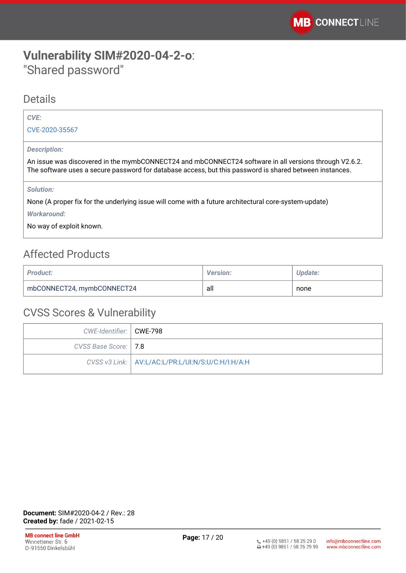# <span id="page-16-0"></span>**Vulnerability SIM#2020-04-2-o**: "Shared password"

### Details

### *CVE:*

[CVE-2020-35567](https://cve.mitre.org/cgi-bin/cvename.cgi?name=CVE-2020-35567)

### *Description:*

An issue was discovered in the mymbCONNECT24 and mbCONNECT24 software in all versions through V2.6.2. The software uses a secure password for database access, but this password is shared between instances.

### *Solution:*

None (A proper fix for the underlying issue will come with a future architectural core-system-update) *Workaround:*

No way of exploit known.

# Affected Products

| <b>Product:</b>            | <b>Version:</b> | Update: |
|----------------------------|-----------------|---------|
| mbCONNECT24, mymbCONNECT24 | all             | none    |

| CWE-Identifier:   CWE-798 |                                                     |
|---------------------------|-----------------------------------------------------|
| CVSS Base Score:   7.8    |                                                     |
|                           | CVSS v3 Link:   AV:L/AC:L/PR:L/UI:N/S:U/C:H/I:H/A:H |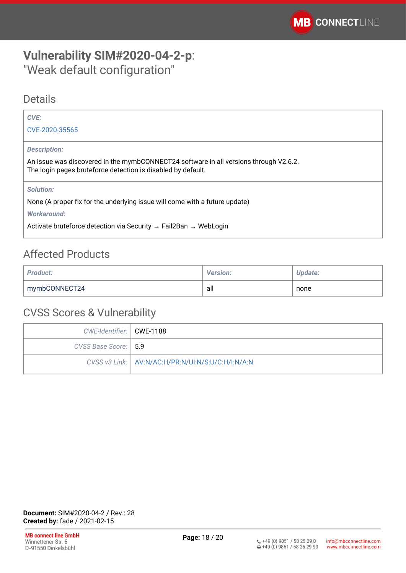# <span id="page-17-0"></span>**Vulnerability SIM#2020-04-2-p**: "Weak default configuration"

### Details

| CVE:                                                                                                                                                  |
|-------------------------------------------------------------------------------------------------------------------------------------------------------|
| CVE-2020-35565                                                                                                                                        |
| <b>Description:</b>                                                                                                                                   |
| An issue was discovered in the mymbCONNECT24 software in all versions through V2.6.2.<br>The login pages bruteforce detection is disabled by default. |
| <b>Solution:</b>                                                                                                                                      |
| None (A proper fix for the underlying issue will come with a future update)                                                                           |
| Workaround:                                                                                                                                           |
| Activate bruteforce detection via Security $\rightarrow$ Fail2Ban $\rightarrow$ WebLogin                                                              |

# Affected Products

| <b>Product:</b> | <b>Version:</b> | <b>Update:</b> |
|-----------------|-----------------|----------------|
| mymbCONNECT24   | all             | none           |

| CWE-Identifier:   CWE-1188 |                                                     |
|----------------------------|-----------------------------------------------------|
| CVSS Base Score:   5.9     |                                                     |
|                            | CVSS v3 Link:   AV:N/AC:H/PR:N/UI:N/S:U/C:H/I:N/A:N |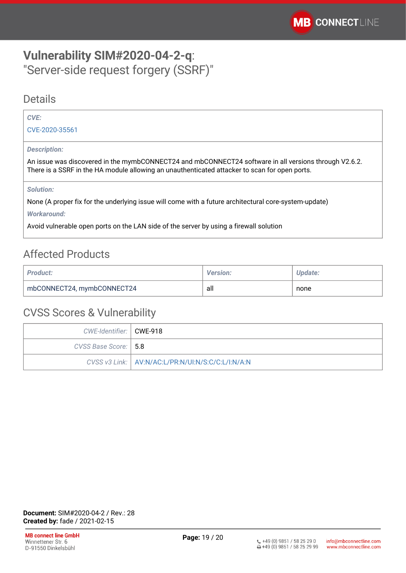# <span id="page-18-0"></span>**Vulnerability SIM#2020-04-2-q**: "Server-side request forgery (SSRF)"

### Details

### *CVE:*

[CVE-2020-35561](https://cve.mitre.org/cgi-bin/cvename.cgi?name=CVE-2020-35561)

#### *Description:*

An issue was discovered in the mymbCONNECT24 and mbCONNECT24 software in all versions through V2.6.2. There is a SSRF in the HA module allowing an unauthenticated attacker to scan for open ports.

#### *Solution:*

None (A proper fix for the underlying issue will come with a future architectural core-system-update) *Workaround:*

Avoid vulnerable open ports on the LAN side of the server by using a firewall solution

# Affected Products

| <b>Product:</b>            | <b>Version:</b> | Update: |
|----------------------------|-----------------|---------|
| mbCONNECT24, mymbCONNECT24 | all             | none    |

| CWE-Identifier:   CWE-918 |                                                     |
|---------------------------|-----------------------------------------------------|
| CVSS Base Score:   5.8    |                                                     |
|                           | CVSS v3 Link:   AV:N/AC:L/PR:N/UI:N/S:C/C:L/I:N/A:N |